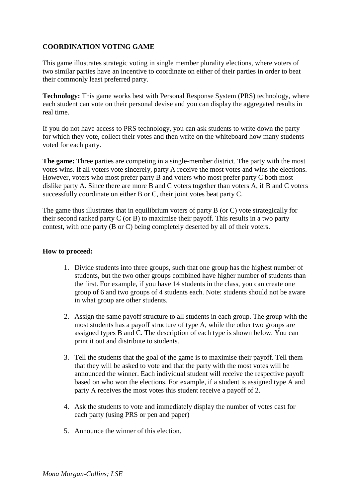# **COORDINATION VOTING GAME**

This game illustrates strategic voting in single member plurality elections, where voters of two similar parties have an incentive to coordinate on either of their parties in order to beat their commonly least preferred party.

**Technology:** This game works best with Personal Response System (PRS) technology, where each student can vote on their personal devise and you can display the aggregated results in real time.

If you do not have access to PRS technology, you can ask students to write down the party for which they vote, collect their votes and then write on the whiteboard how many students voted for each party.

**The game:** Three parties are competing in a single-member district. The party with the most votes wins. If all voters vote sincerely, party A receive the most votes and wins the elections. However, voters who most prefer party B and voters who most prefer party C both most dislike party A. Since there are more B and C voters together than voters A, if B and C voters successfully coordinate on either B or C, their joint votes beat party C.

The game thus illustrates that in equilibrium voters of party B (or C) vote strategically for their second ranked party C (or B) to maximise their payoff. This results in a two party contest, with one party (B or C) being completely deserted by all of their voters.

### **How to proceed:**

- 1. Divide students into three groups, such that one group has the highest number of students, but the two other groups combined have higher number of students than the first. For example, if you have 14 students in the class, you can create one group of 6 and two groups of 4 students each. Note: students should not be aware in what group are other students.
- 2. Assign the same payoff structure to all students in each group. The group with the most students has a payoff structure of type A, while the other two groups are assigned types B and C. The description of each type is shown below. You can print it out and distribute to students.
- 3. Tell the students that the goal of the game is to maximise their payoff. Tell them that they will be asked to vote and that the party with the most votes will be announced the winner. Each individual student will receive the respective payoff based on who won the elections. For example, if a student is assigned type A and party A receives the most votes this student receive a payoff of 2.
- 4. Ask the students to vote and immediately display the number of votes cast for each party (using PRS or pen and paper)
- 5. Announce the winner of this election.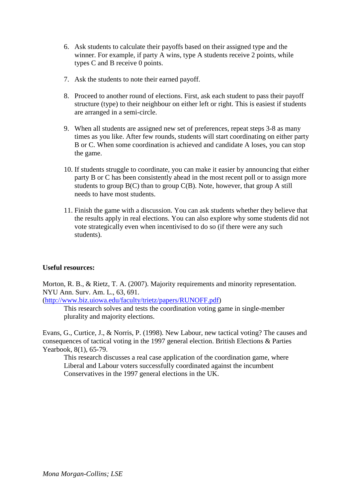- 6. Ask students to calculate their payoffs based on their assigned type and the winner. For example, if party A wins, type A students receive 2 points, while types C and B receive 0 points.
- 7. Ask the students to note their earned payoff.
- 8. Proceed to another round of elections. First, ask each student to pass their payoff structure (type) to their neighbour on either left or right. This is easiest if students are arranged in a semi-circle.
- 9. When all students are assigned new set of preferences, repeat steps 3-8 as many times as you like. After few rounds, students will start coordinating on either party B or C. When some coordination is achieved and candidate A loses, you can stop the game.
- 10. If students struggle to coordinate, you can make it easier by announcing that either party B or C has been consistently ahead in the most recent poll or to assign more students to group  $B(C)$  than to group  $C(B)$ . Note, however, that group A still needs to have most students.
- 11. Finish the game with a discussion. You can ask students whether they believe that the results apply in real elections. You can also explore why some students did not vote strategically even when incentivised to do so (if there were any such students).

#### **Useful resources:**

Morton, R. B., & Rietz, T. A. (2007). Majority requirements and minority representation. NYU Ann. Surv. Am. L., 63, 691.

(http://www.biz.uiowa.edu/faculty/trietz/papers/RUNOFF.pdf)

This research solves and tests the coordination voting game in single-member plurality and majority elections.

Evans, G., Curtice, J., & Norris, P. (1998). New Labour, new tactical voting? The causes and consequences of tactical voting in the 1997 general election. British Elections & Parties Yearbook, 8(1), 65-79.

This research discusses a real case application of the coordination game, where Liberal and Labour voters successfully coordinated against the incumbent Conservatives in the 1997 general elections in the UK.